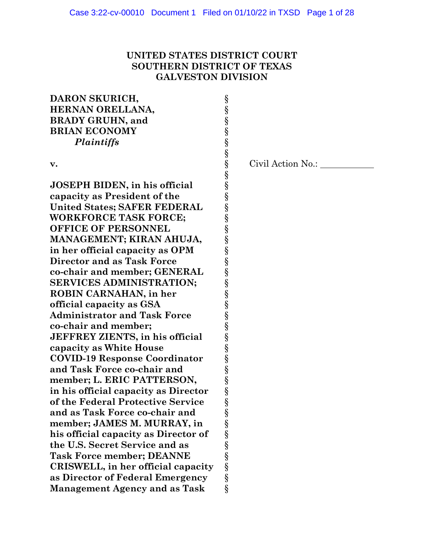# **UNITED STATES DISTRICT COURT SOUTHERN DISTRICT OF TEXAS GALVESTON DIVISION**

# **DARON SKURICH,** § HERNAN ORELLANA,<br>
BRADY GRUHN, and<br>
BRIAN ECONOMY<br>
Plaintiffs<br>
s<br>
s<br>
7<br>
10SEPH BIDEN, in his official<br>
capacity as President of the<br>
United States; SAFER FEDERAL<br>
WORKFORCE TASK FORCE;<br>
S<br>
MORKFORCE TASK FORCE;<br>
S<br>
OFFICE **BRADY GRUHN, and BRIAN ECONOMY** *Plaintiffs* § § **v.** § Civil Action No.: § **JOSEPH BIDEN, in his official capacity as President of the** § **United States: SAFER FEDERAL WORKFORCE TASK FORCE: OFFICE OF PERSONNEL MANAGEMENT; KIRAN AHUJA, in her official capacity as OPM** § **Director and as Task Force co-chair and member; GENERAL SERVICES ADMINISTRATION: ROBIN CARNAHAN, in her official capacity as GSA** § **Administrator and Task Force** § **co-chair and member;** § **JEFFREY ZIENTS, in his official capacity as White House** § **COVID-19 Response Coordinator** § and Task Force co-chair and **member; L. ERIC PATTERSON,** § **in his official capacity as Director of the Federal Protective Service** § and as Task Force co-chair and<br>
member; JAMES M. MURRAY, in<br>
his official capacity as Director of<br>
the U.S. Secret Service and as<br>
Task Force member; DEANNE<br>
CRISWELL, in her official capacity<br>
as Director of Federal Emerg member; JAMES M. MURRAY, in

**his official capacity as Director of** §

**CRISWELL**, in her official capacity **as Director of Federal Emergency** §

**Management Agency and as Task** §

**the U.S. Secret Service and as** § **Task Force member; DEANNE**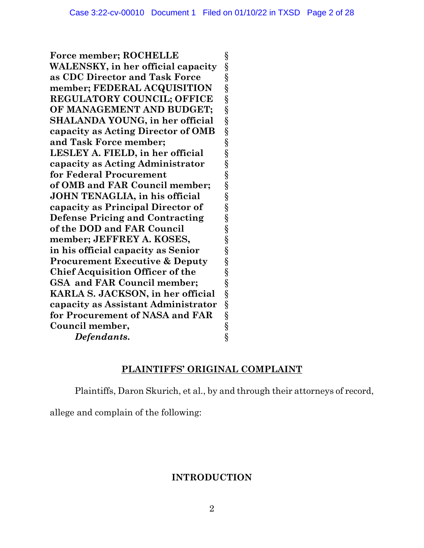**Force member; ROCHELLE** § **WALENSKY, in her official capacity** § **as CDC Director and Task Force** §<br> **member; FEDERAL ACQUISITION** § member; FEDERAL ACQUISITION **REGULATORY COUNCIL; OFFICE** § **OF MANAGEMENT AND BUDGET;** § **SHALANDA YOUNG, in her official** § capacity as Acting Director of OMB<br>
and Task Force member;<br>
LESLEY A. FIELD, in her official<br>
sepacity as Acting Administrator<br>
for Federal Procurement<br>
of OMB and FAR Council member;<br>
JOHN TENAGLIA, in his official<br>
capac and Task Force member: LESLEY A. FIELD, in her official **capacity as Acting Administrator** § **for Federal Procurement** § **of OMB and FAR Council member;** § **JOHN TENAGLIA, in his official capacity as Principal Director of** § **Defense Pricing and Contracting** § **of the DOD and FAR Council member; JEFFREY A. KOSES,** § **in his official capacity as Senior** § **Procurement Executive & Deputy Chief Acquisition Officer of the** § **GSA and FAR Council member;** § **KARLA S. JACKSON, in her official** § **capacity as Assistant Administrator** § **for Procurement of NASA and FAR** § **Council member,**<br>*Defendants.* §  $Defendants$ .

# **PLAINTIFFS' ORIGINAL COMPLAINT**

Plaintiffs, Daron Skurich, et al., by and through their attorneys of record,

allege and complain of the following:

# **INTRODUCTION**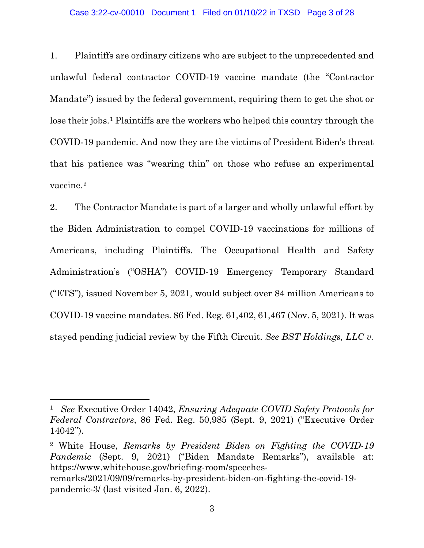### Case 3:22-cv-00010 Document 1 Filed on 01/10/22 in TXSD Page 3 of 28

1. Plaintiffs are ordinary citizens who are subject to the unprecedented and unlawful federal contractor COVID-19 vaccine mandate (the "Contractor Mandate") issued by the federal government, requiring them to get the shot or lose their jobs.[1](#page-2-0) Plaintiffs are the workers who helped this country through the COVID-19 pandemic. And now they are the victims of President Biden's threat that his patience was "wearing thin" on those who refuse an experimental vaccine.[2](#page-2-1)

<span id="page-2-2"></span>2. The Contractor Mandate is part of a larger and wholly unlawful effort by the Biden Administration to compel COVID-19 vaccinations for millions of Americans, including Plaintiffs. The Occupational Health and Safety Administration's ("OSHA") COVID-19 Emergency Temporary Standard ("ETS"), issued November 5, 2021, would subject over 84 million Americans to COVID-19 vaccine mandates. 86 Fed. Reg. 61,402, 61,467 (Nov. 5, 2021). It was stayed pending judicial review by the Fifth Circuit. *See BST Holdings, LLC v.* 

<span id="page-2-0"></span><sup>1</sup> *See* Executive Order 14042, *Ensuring Adequate COVID Safety Protocols for Federal Contractors*, 86 Fed. Reg. 50,985 (Sept. 9, 2021) ("Executive Order 14042").

<span id="page-2-1"></span><sup>2</sup> White House, *Remarks by President Biden on Fighting the COVID-19 Pandemic* (Sept. 9, 2021) ("Biden Mandate Remarks"), available at: https://www.whitehouse.gov/briefing-room/speechesremarks/2021/09/09/remarks-by-president-biden-on-fighting-the-covid-19 pandemic-3/ (last visited Jan. 6, 2022).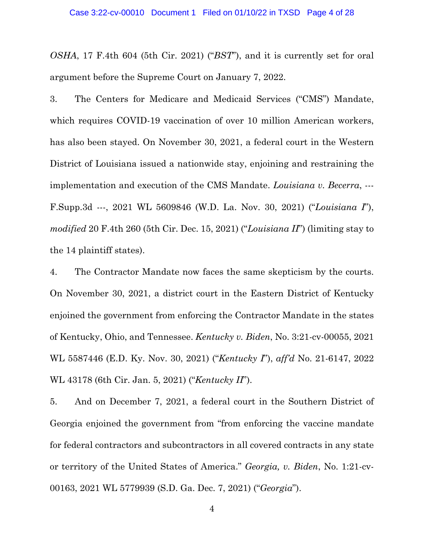*OSHA*, 17 F.4th 604 (5th Cir. 2021) ("*BST*"), and it is currently set for oral argument before the Supreme Court on January 7, 2022.

3. The Centers for Medicare and Medicaid Services ("CMS") Mandate, which requires COVID-19 vaccination of over 10 million American workers, has also been stayed. On November 30, 2021, a federal court in the Western District of Louisiana issued a nationwide stay, enjoining and restraining the implementation and execution of the CMS Mandate. *Louisiana v. Becerra*, --- F.Supp.3d ---, 2021 WL 5609846 (W.D. La. Nov. 30, 2021) ("*Louisiana I*"), *modified* 20 F.4th 260 (5th Cir. Dec. 15, 2021) ("*Louisiana II*") (limiting stay to the 14 plaintiff states).

4. The Contractor Mandate now faces the same skepticism by the courts. On November 30, 2021, a district court in the Eastern District of Kentucky enjoined the government from enforcing the Contractor Mandate in the states of Kentucky, Ohio, and Tennessee. *Kentucky v. Biden*, No. 3:21-cv-00055, 2021 WL 5587446 (E.D. Ky. Nov. 30, 2021) ("*Kentucky I*"), *aff'd* No. 21-6147, 2022 WL 43178 (6th Cir. Jan. 5, 2021) ("*Kentucky II*").

5. And on December 7, 2021, a federal court in the Southern District of Georgia enjoined the government from "from enforcing the vaccine mandate for federal contractors and subcontractors in all covered contracts in any state or territory of the United States of America." *Georgia, v. Biden*, No. 1:21-cv-00163, 2021 WL 5779939 (S.D. Ga. Dec. 7, 2021) ("*Georgia*").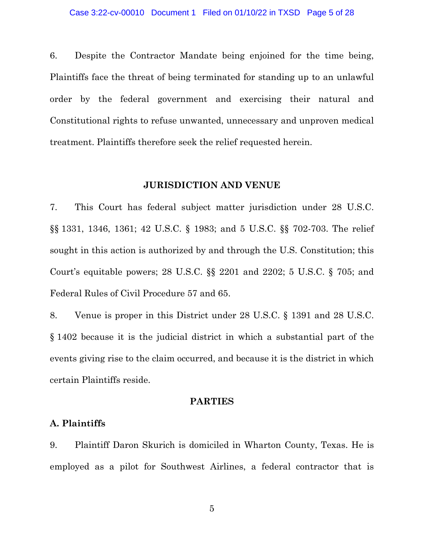6. Despite the Contractor Mandate being enjoined for the time being, Plaintiffs face the threat of being terminated for standing up to an unlawful order by the federal government and exercising their natural and Constitutional rights to refuse unwanted, unnecessary and unproven medical treatment. Plaintiffs therefore seek the relief requested herein.

### **JURISDICTION AND VENUE**

7. This Court has federal subject matter jurisdiction under 28 U.S.C. §§ 1331, 1346, 1361; 42 U.S.C. § 1983; and 5 U.S.C. §§ 702-703. The relief sought in this action is authorized by and through the U.S. Constitution; this Court's equitable powers; 28 U.S.C. §§ 2201 and 2202; 5 U.S.C. § 705; and Federal Rules of Civil Procedure 57 and 65.

8. Venue is proper in this District under 28 U.S.C. § 1391 and 28 U.S.C. § 1402 because it is the judicial district in which a substantial part of the events giving rise to the claim occurred, and because it is the district in which certain Plaintiffs reside.

### **PARTIES**

### **A. Plaintiffs**

9. Plaintiff Daron Skurich is domiciled in Wharton County, Texas. He is employed as a pilot for Southwest Airlines, a federal contractor that is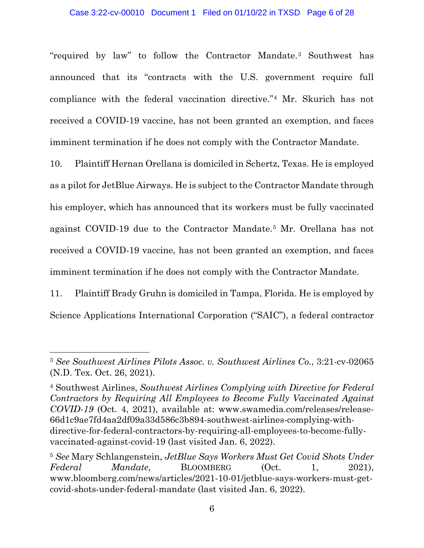### Case 3:22-cv-00010 Document 1 Filed on 01/10/22 in TXSD Page 6 of 28

"required by law" to follow the Contractor Mandate.[3](#page-5-0) Southwest has announced that its "contracts with the U.S. government require full compliance with the federal vaccination directive."[4](#page-5-1) Mr. Skurich has not received a COVID-19 vaccine, has not been granted an exemption, and faces imminent termination if he does not comply with the Contractor Mandate.

10. Plaintiff Hernan Orellana is domiciled in Schertz, Texas. He is employed as a pilot for JetBlue Airways. He is subject to the Contractor Mandate through his employer, which has announced that its workers must be fully vaccinated against COVID-19 due to the Contractor Mandate.[5](#page-5-2) Mr. Orellana has not received a COVID-19 vaccine, has not been granted an exemption, and faces imminent termination if he does not comply with the Contractor Mandate.

11. Plaintiff Brady Gruhn is domiciled in Tampa, Florida. He is employed by Science Applications International Corporation ("SAIC"), a federal contractor

<span id="page-5-0"></span><sup>3</sup> *See Southwest Airlines Pilots Assoc. v. Southwest Airlines Co.*, 3:21-cv-02065 (N.D. Tex. Oct. 26, 2021).

<span id="page-5-1"></span><sup>4</sup> Southwest Airlines, *Southwest Airlines Complying with Directive for Federal Contractors by Requiring All Employees to Become Fully Vaccinated Against COVID-19* (Oct. 4, 2021), available at: www.swamedia.com/releases/release-66d1c9ae7fd4aa2df09a33d586c3b894-southwest-airlines-complying-withdirective-for-federal-contractors-by-requiring-all-employees-to-become-fullyvaccinated-against-covid-19 (last visited Jan. 6, 2022).

<span id="page-5-2"></span><sup>5</sup> *See* Mary Schlangenstein, *JetBlue Says Workers Must Get Covid Shots Under*  Federal Mandate, BLOOMBERG (Oct. 1, 2021), www.bloomberg.com/news/articles/2021-10-01/jetblue-says-workers-must-getcovid-shots-under-federal-mandate (last visited Jan. 6, 2022).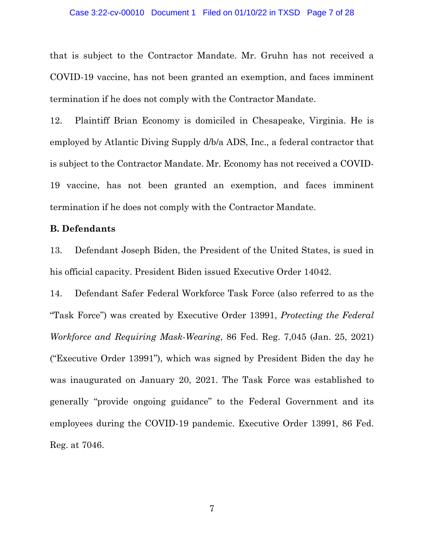#### Case 3:22-cv-00010 Document 1 Filed on 01/10/22 in TXSD Page 7 of 28

that is subject to the Contractor Mandate. Mr. Gruhn has not received a COVID-19 vaccine, has not been granted an exemption, and faces imminent termination if he does not comply with the Contractor Mandate.

12. Plaintiff Brian Economy is domiciled in Chesapeake, Virginia. He is employed by Atlantic Diving Supply d/b/a ADS, Inc., a federal contractor that is subject to the Contractor Mandate. Mr. Economy has not received a COVID-19 vaccine, has not been granted an exemption, and faces imminent termination if he does not comply with the Contractor Mandate.

### **B. Defendants**

13. Defendant Joseph Biden, the President of the United States, is sued in his official capacity. President Biden issued Executive Order 14042.

14. Defendant Safer Federal Workforce Task Force (also referred to as the "Task Force") was created by Executive Order 13991, *Protecting the Federal Workforce and Requiring Mask-Wearing*, 86 Fed. Reg. 7,045 (Jan. 25, 2021) ("Executive Order 13991"), which was signed by President Biden the day he was inaugurated on January 20, 2021. The Task Force was established to generally "provide ongoing guidance" to the Federal Government and its employees during the COVID-19 pandemic. Executive Order 13991*,* 86 Fed. Reg. at 7046.

7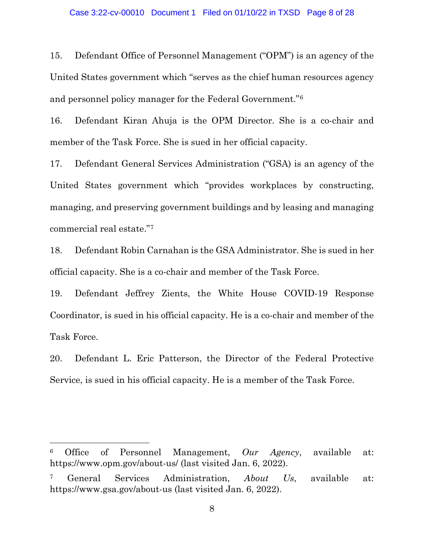#### Case 3:22-cv-00010 Document 1 Filed on 01/10/22 in TXSD Page 8 of 28

15. Defendant Office of Personnel Management ("OPM") is an agency of the United States government which "serves as the chief human resources agency and personnel policy manager for the Federal Government."[6](#page-7-0) 

16. Defendant Kiran Ahuja is the OPM Director. She is a co-chair and member of the Task Force. She is sued in her official capacity.

17. Defendant General Services Administration ("GSA) is an agency of the United States government which "provides workplaces by constructing, managing, and preserving government buildings and by leasing and managing commercial real estate."[7](#page-7-1) 

18. Defendant Robin Carnahan is the GSA Administrator. She is sued in her official capacity. She is a co-chair and member of the Task Force.

19. Defendant Jeffrey Zients, the White House COVID-19 Response Coordinator, is sued in his official capacity. He is a co-chair and member of the Task Force.

20. Defendant L. Eric Patterson, the Director of the Federal Protective Service, is sued in his official capacity. He is a member of the Task Force.

<span id="page-7-0"></span><sup>6</sup> Office of Personnel Management, *Our Agency*, available at: https://www.opm.gov/about-us/ (last visited Jan. 6, 2022).

<span id="page-7-1"></span><sup>7</sup> General Services Administration, *About Us*, available at: https://www.gsa.gov/about-us (last visited Jan. 6, 2022).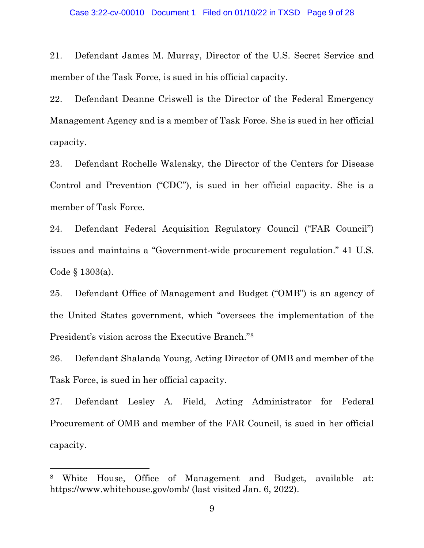#### Case 3:22-cv-00010 Document 1 Filed on 01/10/22 in TXSD Page 9 of 28

21. Defendant James M. Murray, Director of the U.S. Secret Service and member of the Task Force, is sued in his official capacity.

22. Defendant Deanne Criswell is the Director of the Federal Emergency Management Agency and is a member of Task Force. She is sued in her official capacity.

23. Defendant Rochelle Walensky, the Director of the Centers for Disease Control and Prevention ("CDC"), is sued in her official capacity. She is a member of Task Force.

24. Defendant Federal Acquisition Regulatory Council ("FAR Council") issues and maintains a "Government-wide procurement regulation." 41 U.S. Code § 1303(a).

25. Defendant Office of Management and Budget ("OMB") is an agency of the United States government, which "oversees the implementation of the President's vision across the Executive Branch."[8](#page-8-0)

26. Defendant Shalanda Young, Acting Director of OMB and member of the Task Force, is sued in her official capacity.

27. Defendant Lesley A. Field, Acting Administrator for Federal Procurement of OMB and member of the FAR Council, is sued in her official capacity.

<span id="page-8-0"></span><sup>8</sup> White House, Office of Management and Budget, available at: https://www.whitehouse.gov/omb/ (last visited Jan. 6, 2022).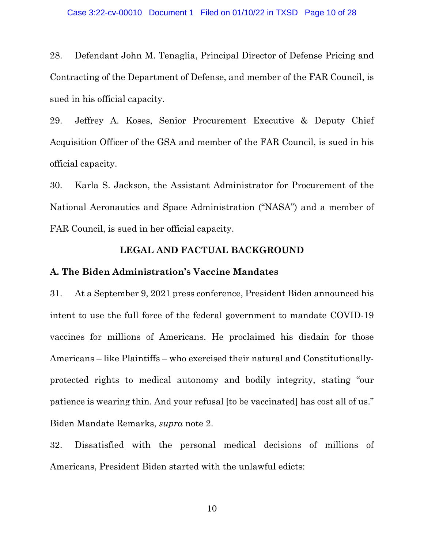28. Defendant John M. Tenaglia, Principal Director of Defense Pricing and Contracting of the Department of Defense, and member of the FAR Council, is sued in his official capacity.

29. Jeffrey A. Koses, Senior Procurement Executive & Deputy Chief Acquisition Officer of the GSA and member of the FAR Council, is sued in his official capacity.

30. Karla S. Jackson, the Assistant Administrator for Procurement of the National Aeronautics and Space Administration ("NASA") and a member of FAR Council, is sued in her official capacity.

### **LEGAL AND FACTUAL BACKGROUND**

### **A. The Biden Administration's Vaccine Mandates**

31. At a September 9, 2021 press conference, President Biden announced his intent to use the full force of the federal government to mandate COVID-19 vaccines for millions of Americans. He proclaimed his disdain for those Americans – like Plaintiffs – who exercised their natural and Constitutionallyprotected rights to medical autonomy and bodily integrity, stating "our patience is wearing thin. And your refusal [to be vaccinated] has cost all of us." Biden Mandate Remarks, *supra* note [2.](#page-2-2)

32. Dissatisfied with the personal medical decisions of millions of Americans, President Biden started with the unlawful edicts: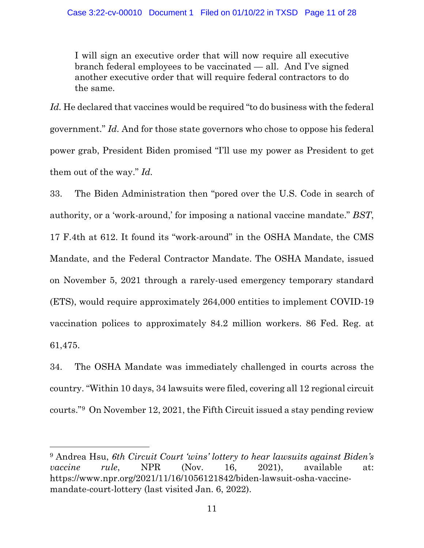I will sign an executive order that will now require all executive branch federal employees to be vaccinated — all. And I've signed another executive order that will require federal contractors to do the same.

Id. He declared that vaccines would be required "to do business with the federal government." *Id.* And for those state governors who chose to oppose his federal power grab, President Biden promised "I'll use my power as President to get them out of the way." *Id.*

33. The Biden Administration then "pored over the U.S. Code in search of authority, or a 'work-around,' for imposing a national vaccine mandate." *BST*, 17 F.4th at 612. It found its "work-around" in the OSHA Mandate, the CMS Mandate, and the Federal Contractor Mandate. The OSHA Mandate, issued on November 5, 2021 through a rarely-used emergency temporary standard (ETS), would require approximately 264,000 entities to implement COVID-19 vaccination polices to approximately 84.2 million workers. 86 Fed. Reg. at 61,475.

34. The OSHA Mandate was immediately challenged in courts across the country. "Within 10 days, 34 lawsuits were filed, covering all 12 regional circuit courts."[9](#page-10-0) On November 12, 2021, the Fifth Circuit issued a stay pending review

<span id="page-10-0"></span><sup>9</sup> Andrea Hsu, *6th Circuit Court 'wins' lottery to hear lawsuits against Biden's vaccine rule*, NPR (Nov. 16, 2021), available at: https://www.npr.org/2021/11/16/1056121842/biden-lawsuit-osha-vaccinemandate-court-lottery (last visited Jan. 6, 2022).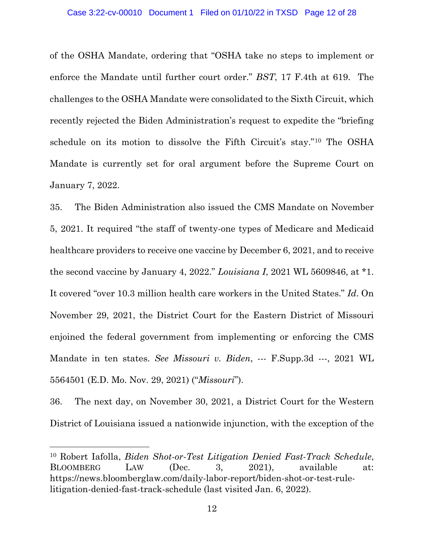of the OSHA Mandate, ordering that "OSHA take no steps to implement or enforce the Mandate until further court order." *BST*, 17 F.4th at 619. The challenges to the OSHA Mandate were consolidated to the Sixth Circuit, which recently rejected the Biden Administration's request to expedite the "briefing schedule on its motion to dissolve the Fifth Circuit's stay."[10](#page-11-0) The OSHA Mandate is currently set for oral argument before the Supreme Court on January 7, 2022.

35. The Biden Administration also issued the CMS Mandate on November 5, 2021. It required "the staff of twenty-one types of Medicare and Medicaid healthcare providers to receive one vaccine by December 6, 2021, and to receive the second vaccine by January 4, 2022." *Louisiana I*, 2021 WL 5609846, at \*1. It covered "over 10.3 million health care workers in the United States." *Id*. On November 29, 2021, the District Court for the Eastern District of Missouri enjoined the federal government from implementing or enforcing the CMS Mandate in ten states. *See Missouri v. Biden*, --- F.Supp.3d ---, 2021 WL 5564501 (E.D. Mo. Nov. 29, 2021) ("*Missouri*").

36. The next day, on November 30, 2021, a District Court for the Western District of Louisiana issued a nationwide injunction, with the exception of the

<span id="page-11-0"></span><sup>10</sup> Robert Iafolla, *Biden Shot-or-Test Litigation Denied Fast-Track Schedule*, BLOOMBERG LAW (Dec. 3, 2021), available at: https://news.bloomberglaw.com/daily-labor-report/biden-shot-or-test-rulelitigation-denied-fast-track-schedule (last visited Jan. 6, 2022).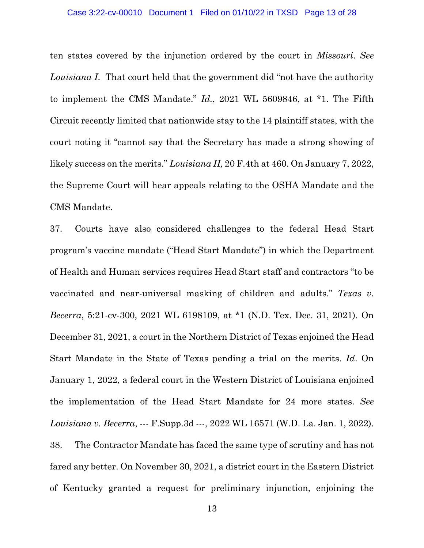#### Case 3:22-cv-00010 Document 1 Filed on 01/10/22 in TXSD Page 13 of 28

ten states covered by the injunction ordered by the court in *Missouri*. *See Louisiana I*. That court held that the government did "not have the authority to implement the CMS Mandate." *Id.*, 2021 WL 5609846, at \*1. The Fifth Circuit recently limited that nationwide stay to the 14 plaintiff states, with the court noting it "cannot say that the Secretary has made a strong showing of likely success on the merits." *Louisiana II,* 20 F.4th at 460. On January 7, 2022, the Supreme Court will hear appeals relating to the OSHA Mandate and the CMS Mandate.

37. Courts have also considered challenges to the federal Head Start program's vaccine mandate ("Head Start Mandate") in which the Department of Health and Human services requires Head Start staff and contractors "to be vaccinated and near-universal masking of children and adults." *Texas v. Becerra*, 5:21-cv-300, 2021 WL 6198109, at \*1 (N.D. Tex. Dec. 31, 2021). On December 31, 2021, a court in the Northern District of Texas enjoined the Head Start Mandate in the State of Texas pending a trial on the merits. *Id*. On January 1, 2022, a federal court in the Western District of Louisiana enjoined the implementation of the Head Start Mandate for 24 more states. *See Louisiana v. Becerra*, --- F.Supp.3d ---, 2022 WL 16571 (W.D. La. Jan. 1, 2022). 38. The Contractor Mandate has faced the same type of scrutiny and has not fared any better. On November 30, 2021, a district court in the Eastern District of Kentucky granted a request for preliminary injunction, enjoining the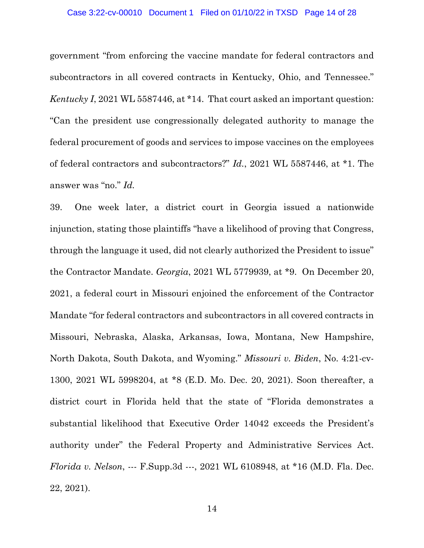#### Case 3:22-cv-00010 Document 1 Filed on 01/10/22 in TXSD Page 14 of 28

government "from enforcing the vaccine mandate for federal contractors and subcontractors in all covered contracts in Kentucky, Ohio, and Tennessee." *Kentucky I*, 2021 WL 5587446, at \*14. That court asked an important question: "Can the president use congressionally delegated authority to manage the federal procurement of goods and services to impose vaccines on the employees of federal contractors and subcontractors?" *Id.*, 2021 WL 5587446, at \*1. The answer was "no." *Id.*

39. One week later, a district court in Georgia issued a nationwide injunction, stating those plaintiffs "have a likelihood of proving that Congress, through the language it used, did not clearly authorized the President to issue" the Contractor Mandate. *Georgia*, 2021 WL 5779939, at \*9. On December 20, 2021, a federal court in Missouri enjoined the enforcement of the Contractor Mandate "for federal contractors and subcontractors in all covered contracts in Missouri, Nebraska, Alaska, Arkansas, Iowa, Montana, New Hampshire, North Dakota, South Dakota, and Wyoming." *Missouri v. Biden*, No. 4:21-cv-1300, 2021 WL 5998204, at \*8 (E.D. Mo. Dec. 20, 2021). Soon thereafter, a district court in Florida held that the state of "Florida demonstrates a substantial likelihood that Executive Order 14042 exceeds the President's authority under" the Federal Property and Administrative Services Act. *Florida v. Nelson*, --- F.Supp.3d ---, 2021 WL 6108948, at \*16 (M.D. Fla. Dec. 22, 2021).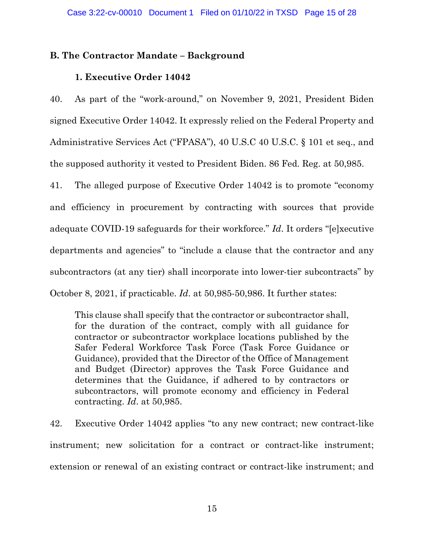# **B. The Contractor Mandate – Background**

# **1. Executive Order 14042**

40. As part of the "work-around," on November 9, 2021, President Biden signed Executive Order 14042. It expressly relied on the Federal Property and Administrative Services Act ("FPASA"), 40 U.S.C 40 U.S.C. § 101 et seq., and the supposed authority it vested to President Biden. 86 Fed. Reg. at 50,985.

41. The alleged purpose of Executive Order 14042 is to promote "economy and efficiency in procurement by contracting with sources that provide adequate COVID-19 safeguards for their workforce." *Id*. It orders "[e]xecutive departments and agencies" to "include a clause that the contractor and any subcontractors (at any tier) shall incorporate into lower-tier subcontracts" by October 8, 2021, if practicable. *Id*. at 50,985-50,986. It further states:

This clause shall specify that the contractor or subcontractor shall, for the duration of the contract, comply with all guidance for contractor or subcontractor workplace locations published by the Safer Federal Workforce Task Force (Task Force Guidance or Guidance), provided that the Director of the Office of Management and Budget (Director) approves the Task Force Guidance and determines that the Guidance, if adhered to by contractors or subcontractors, will promote economy and efficiency in Federal contracting. *Id*. at 50,985.

42. Executive Order 14042 applies "to any new contract; new contract-like instrument; new solicitation for a contract or contract-like instrument; extension or renewal of an existing contract or contract-like instrument; and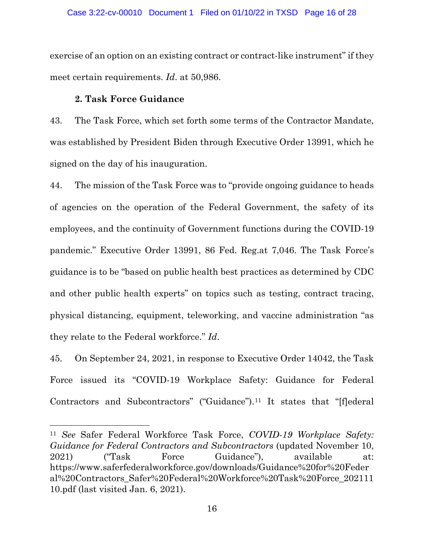### Case 3:22-cv-00010 Document 1 Filed on 01/10/22 in TXSD Page 16 of 28

exercise of an option on an existing contract or contract-like instrument" if they meet certain requirements. *Id*. at 50,986.

### **2. Task Force Guidance**

<span id="page-15-1"></span> $\overline{a}$ 

43. The Task Force, which set forth some terms of the Contractor Mandate, was established by President Biden through Executive Order 13991, which he signed on the day of his inauguration.

44. The mission of the Task Force was to "provide ongoing guidance to heads of agencies on the operation of the Federal Government, the safety of its employees, and the continuity of Government functions during the COVID-19 pandemic." Executive Order 13991, 86 Fed. Reg.at 7,046. The Task Force's guidance is to be "based on public health best practices as determined by CDC and other public health experts" on topics such as testing, contract tracing, physical distancing, equipment, teleworking, and vaccine administration "as they relate to the Federal workforce." *Id*.

45. On September 24, 2021, in response to Executive Order 14042, the Task Force issued its "COVID-19 Workplace Safety: Guidance for Federal Contractors and Subcontractors" ("Guidance").[11](#page-15-0) It states that "[f]ederal

<span id="page-15-0"></span><sup>11</sup> *See* Safer Federal Workforce Task Force, *COVID-19 Workplace Safety: Guidance for Federal Contractors and Subcontractors* (updated November 10, 2021) ("Task Force Guidance"), available at: https://www.saferfederalworkforce.gov/downloads/Guidance%20for%20Feder al%20Contractors\_Safer%20Federal%20Workforce%20Task%20Force\_202111 10.pdf (last visited Jan. 6, 2021).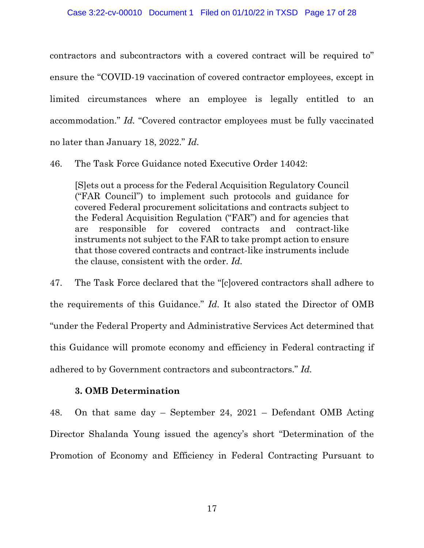contractors and subcontractors with a covered contract will be required to" ensure the "COVID-19 vaccination of covered contractor employees, except in limited circumstances where an employee is legally entitled to an accommodation." *Id.* "Covered contractor employees must be fully vaccinated no later than January 18, 2022." *Id.*

46. The Task Force Guidance noted Executive Order 14042:

[S]ets out a process for the Federal Acquisition Regulatory Council ("FAR Council") to implement such protocols and guidance for covered Federal procurement solicitations and contracts subject to the Federal Acquisition Regulation ("FAR") and for agencies that are responsible for covered contracts and contract-like instruments not subject to the FAR to take prompt action to ensure that those covered contracts and contract-like instruments include the clause, consistent with the order. *Id.*

47. The Task Force declared that the "[c]overed contractors shall adhere to the requirements of this Guidance." *Id.* It also stated the Director of OMB "under the Federal Property and Administrative Services Act determined that this Guidance will promote economy and efficiency in Federal contracting if adhered to by Government contractors and subcontractors." *Id.*

### **3. OMB Determination**

48. On that same day – September 24, 2021 – Defendant OMB Acting Director Shalanda Young issued the agency's short "Determination of the Promotion of Economy and Efficiency in Federal Contracting Pursuant to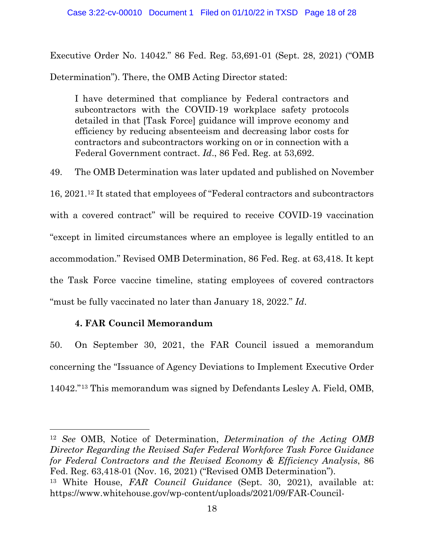Executive Order No. 14042." 86 Fed. Reg. 53,691-01 (Sept. 28, 2021) ("OMB

Determination"). There, the OMB Acting Director stated:

I have determined that compliance by Federal contractors and subcontractors with the COVID-19 workplace safety protocols detailed in that [Task Force] guidance will improve economy and efficiency by reducing absenteeism and decreasing labor costs for contractors and subcontractors working on or in connection with a Federal Government contract. *Id*., 86 Fed. Reg. at 53,692.

49. The OMB Determination was later updated and published on November 16, 2021.[12](#page-17-0) It stated that employees of "Federal contractors and subcontractors with a covered contract" will be required to receive COVID-19 vaccination "except in limited circumstances where an employee is legally entitled to an accommodation." Revised OMB Determination, 86 Fed. Reg. at 63,418. It kept the Task Force vaccine timeline, stating employees of covered contractors "must be fully vaccinated no later than January 18, 2022." *Id*.

# **4. FAR Council Memorandum**

 $\overline{a}$ 

50. On September 30, 2021, the FAR Council issued a memorandum concerning the "Issuance of Agency Deviations to Implement Executive Order 14042."[13](#page-17-1) This memorandum was signed by Defendants Lesley A. Field, OMB,

<span id="page-17-1"></span><span id="page-17-0"></span><sup>12</sup> *See* OMB, Notice of Determination, *Determination of the Acting OMB Director Regarding the Revised Safer Federal Workforce Task Force Guidance for Federal Contractors and the Revised Economy & Efficiency Analysis*, 86 Fed. Reg. 63,418-01 (Nov. 16, 2021) ("Revised OMB Determination"). <sup>13</sup> White House, *FAR Council Guidance* (Sept. 30, 2021), available at: https://www.whitehouse.gov/wp-content/uploads/2021/09/FAR-Council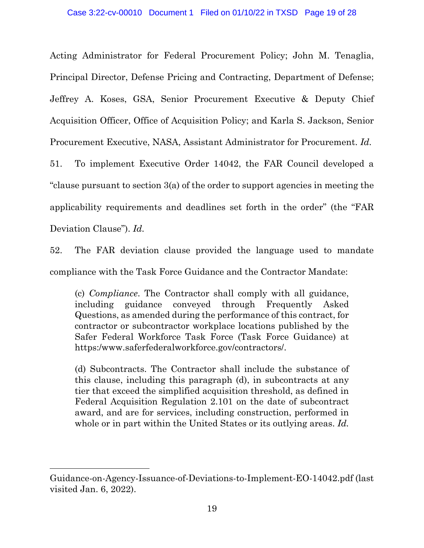Acting Administrator for Federal Procurement Policy; John M. Tenaglia, Principal Director, Defense Pricing and Contracting, Department of Defense; Jeffrey A. Koses, GSA, Senior Procurement Executive & Deputy Chief Acquisition Officer, Office of Acquisition Policy; and Karla S. Jackson, Senior Procurement Executive, NASA, Assistant Administrator for Procurement. *Id.*

51. To implement Executive Order 14042, the FAR Council developed a "clause pursuant to section 3(a) of the order to support agencies in meeting the applicability requirements and deadlines set forth in the order" (the "FAR Deviation Clause"). *Id.*

52. The FAR deviation clause provided the language used to mandate compliance with the Task Force Guidance and the Contractor Mandate:

(c) *Compliance*. The Contractor shall comply with all guidance, including guidance conveyed through Frequently Asked Questions, as amended during the performance of this contract, for contractor or subcontractor workplace locations published by the Safer Federal Workforce Task Force (Task Force Guidance) at https:/www.saferfederalworkforce.gov/contractors/.

(d) Subcontracts. The Contractor shall include the substance of this clause, including this paragraph (d), in subcontracts at any tier that exceed the simplified acquisition threshold, as defined in Federal Acquisition Regulation 2.101 on the date of subcontract award, and are for services, including construction, performed in whole or in part within the United States or its outlying areas. *Id.*

Guidance-on-Agency-Issuance-of-Deviations-to-Implement-EO-14042.pdf (last visited Jan. 6, 2022).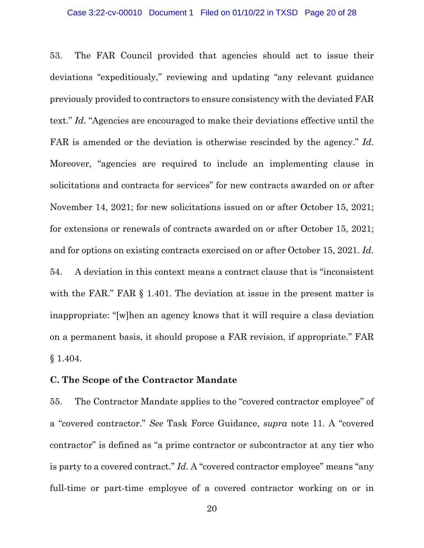53. The FAR Council provided that agencies should act to issue their deviations "expeditiously," reviewing and updating "any relevant guidance previously provided to contractors to ensure consistency with the deviated FAR text." *Id.* "Agencies are encouraged to make their deviations effective until the FAR is amended or the deviation is otherwise rescinded by the agency." *Id.* Moreover, "agencies are required to include an implementing clause in solicitations and contracts for services" for new contracts awarded on or after November 14, 2021; for new solicitations issued on or after October 15, 2021; for extensions or renewals of contracts awarded on or after October 15, 2021; and for options on existing contracts exercised on or after October 15, 2021. *Id.* 54. A deviation in this context means a contract clause that is "inconsistent with the FAR." FAR  $\S$  1.401. The deviation at issue in the present matter is inappropriate: "[w]hen an agency knows that it will require a class deviation on a permanent basis, it should propose a FAR revision, if appropriate." FAR § 1.404.

### **C. The Scope of the Contractor Mandate**

55. The Contractor Mandate applies to the "covered contractor employee" of a "covered contractor." *See* Task Force Guidance, *supra* note [11.](#page-15-1) A "covered contractor" is defined as "a prime contractor or subcontractor at any tier who is party to a covered contract." *Id.* A "covered contractor employee" means "any full-time or part-time employee of a covered contractor working on or in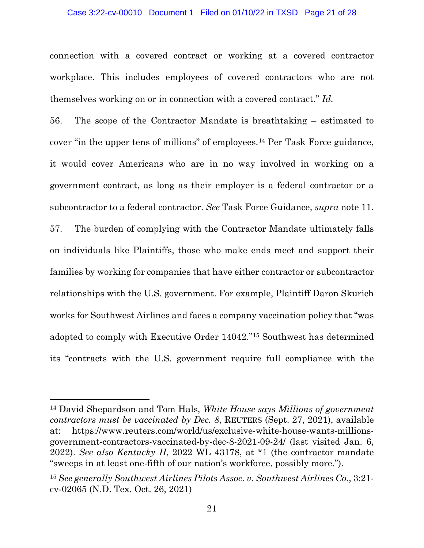#### Case 3:22-cv-00010 Document 1 Filed on 01/10/22 in TXSD Page 21 of 28

connection with a covered contract or working at a covered contractor workplace. This includes employees of covered contractors who are not themselves working on or in connection with a covered contract." *Id.*

56. The scope of the Contractor Mandate is breathtaking – estimated to cover "in the upper tens of millions" of employees.[14](#page-20-0) Per Task Force guidance, it would cover Americans who are in no way involved in working on a government contract, as long as their employer is a federal contractor or a subcontractor to a federal contractor. *See* Task Force Guidance, *supra* note [11.](#page-15-1) 57. The burden of complying with the Contractor Mandate ultimately falls on individuals like Plaintiffs, those who make ends meet and support their families by working for companies that have either contractor or subcontractor relationships with the U.S. government. For example, Plaintiff Daron Skurich works for Southwest Airlines and faces a company vaccination policy that "was adopted to comply with Executive Order 14042."[15](#page-20-1) Southwest has determined its "contracts with the U.S. government require full compliance with the

<span id="page-20-0"></span><sup>14</sup> David Shepardson and Tom Hals, *White House says Millions of government contractors must be vaccinated by Dec. 8*, REUTERS (Sept. 27, 2021), available at: https://www.reuters.com/world/us/exclusive-white-house-wants-millionsgovernment-contractors-vaccinated-by-dec-8-2021-09-24/ (last visited Jan. 6, 2022). *See also Kentucky II*, 2022 WL 43178, at \*1 (the contractor mandate "sweeps in at least one-fifth of our nation's workforce, possibly more.").

<span id="page-20-1"></span><sup>15</sup> *See generally Southwest Airlines Pilots Assoc. v. Southwest Airlines Co.*, 3:21 cv-02065 (N.D. Tex. Oct. 26, 2021)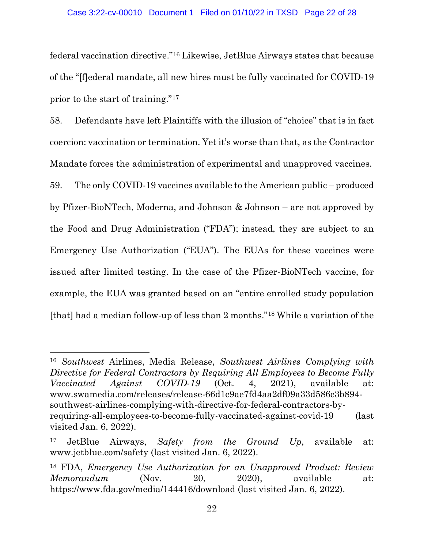federal vaccination directive."[16](#page-21-0) Likewise, JetBlue Airways states that because of the "[f]ederal mandate, all new hires must be fully vaccinated for COVID-19 prior to the start of training."[17](#page-21-1)

58. Defendants have left Plaintiffs with the illusion of "choice" that is in fact coercion: vaccination or termination. Yet it's worse than that, as the Contractor Mandate forces the administration of experimental and unapproved vaccines. 59. The only COVID-19 vaccines available to the American public – produced

by Pfizer-BioNTech, Moderna, and Johnson & Johnson – are not approved by the Food and Drug Administration ("FDA"); instead, they are subject to an Emergency Use Authorization ("EUA"). The EUAs for these vaccines were issued after limited testing. In the case of the Pfizer-BioNTech vaccine, for example, the EUA was granted based on an "entire enrolled study population [that] had a median follow-up of less than 2 months."[18](#page-21-2) While a variation of the

<span id="page-21-0"></span><sup>16</sup> *Southwest* Airlines, Media Release, *Southwest Airlines Complying with Directive for Federal Contractors by Requiring All Employees to Become Fully Vaccinated Against COVID-19* (Oct. 4, 2021), available at: www.swamedia.com/releases/release-66d1c9ae7fd4aa2df09a33d586c3b894 southwest-airlines-complying-with-directive-for-federal-contractors-byrequiring-all-employees-to-become-fully-vaccinated-against-covid-19 (last visited Jan. 6, 2022).

<span id="page-21-1"></span><sup>17</sup> JetBlue Airways, *Safety from the Ground Up*, available at: www.jetblue.com/safety (last visited Jan. 6, 2022).

<span id="page-21-2"></span><sup>18</sup> FDA, *Emergency Use Authorization for an Unapproved Product: Review Memorandum* (Nov. 20, 2020), available at: https://www.fda.gov/media/144416/download (last visited Jan. 6, 2022).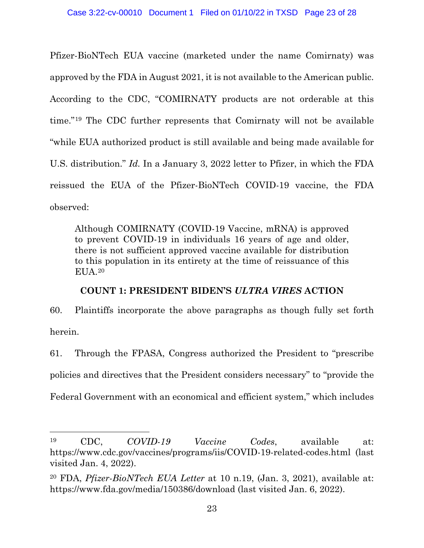Pfizer-BioNTech EUA vaccine (marketed under the name Comirnaty) was approved by the FDA in August 2021, it is not available to the American public. According to the CDC, "COMIRNATY products are not orderable at this time."[19](#page-22-0) The CDC further represents that Comirnaty will not be available "while EUA authorized product is still available and being made available for U.S. distribution." *Id.* In a January 3, 2022 letter to Pfizer, in which the FDA reissued the EUA of the Pfizer-BioNTech COVID-19 vaccine, the FDA observed:

Although COMIRNATY (COVID-19 Vaccine, mRNA) is approved to prevent COVID-19 in individuals 16 years of age and older, there is not sufficient approved vaccine available for distribution to this population in its entirety at the time of reissuance of this EUA.[20](#page-22-1)

# **COUNT 1: PRESIDENT BIDEN'S** *ULTRA VIRES* **ACTION**

60. Plaintiffs incorporate the above paragraphs as though fully set forth herein.

61. Through the FPASA, Congress authorized the President to "prescribe policies and directives that the President considers necessary" to "provide the Federal Government with an economical and efficient system," which includes

<span id="page-22-0"></span><sup>19</sup> CDC, *COVID-19 Vaccine Codes*, available at: https://www.cdc.gov/vaccines/programs/iis/COVID-19-related-codes.html (last visited Jan. 4, 2022).

<span id="page-22-1"></span><sup>20</sup> FDA, *Pfizer-BioNTech EUA Letter* at 10 n.19, (Jan. 3, 2021), available at: https://www.fda.gov/media/150386/download (last visited Jan. 6, 2022).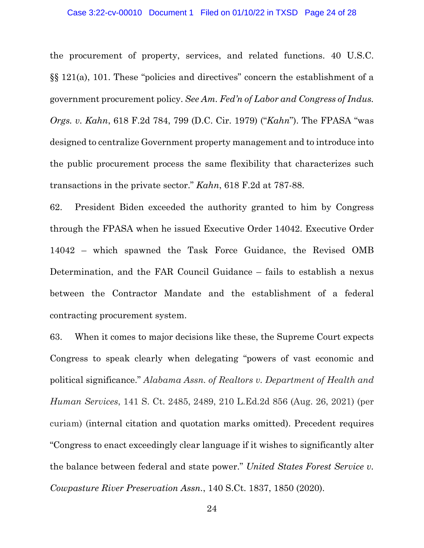#### Case 3:22-cv-00010 Document 1 Filed on 01/10/22 in TXSD Page 24 of 28

the procurement of property, services, and related functions. 40 U.S.C. §§ 121(a), 101. These "policies and directives" concern the establishment of a government procurement policy. *See Am. Fed'n of Labor and Congress of Indus. Orgs. v. Kahn*, 618 F.2d 784, 799 (D.C. Cir. 1979) ("*Kahn*"). The FPASA "was designed to centralize Government property management and to introduce into the public procurement process the same flexibility that characterizes such transactions in the private sector." *Kahn*, 618 F.2d at 787-88.

62. President Biden exceeded the authority granted to him by Congress through the FPASA when he issued Executive Order 14042. Executive Order 14042 – which spawned the Task Force Guidance, the Revised OMB Determination, and the FAR Council Guidance – fails to establish a nexus between the Contractor Mandate and the establishment of a federal contracting procurement system.

63. When it comes to major decisions like these, the Supreme Court expects Congress to speak clearly when delegating "powers of vast economic and political significance." *Alabama Assn. of Realtors v. Department of Health and Human Services*, 141 S. Ct. 2485, 2489, 210 L.Ed.2d 856 (Aug. 26, 2021) (per curiam) (internal citation and quotation marks omitted). Precedent requires "Congress to enact exceedingly clear language if it wishes to significantly alter the balance between federal and state power." *United States Forest Service v. Cowpasture River Preservation Assn.*, 140 S.Ct. 1837, 1850 (2020).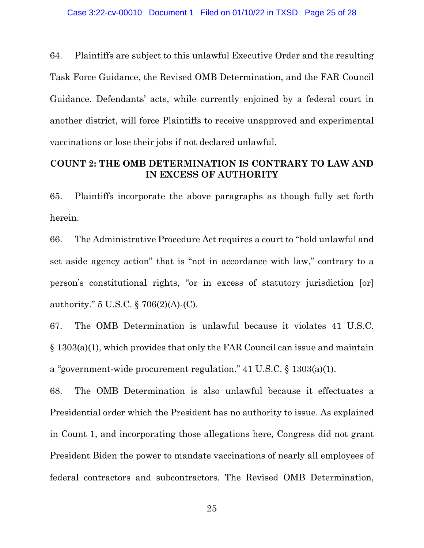64. Plaintiffs are subject to this unlawful Executive Order and the resulting Task Force Guidance, the Revised OMB Determination, and the FAR Council Guidance. Defendants' acts, while currently enjoined by a federal court in another district, will force Plaintiffs to receive unapproved and experimental vaccinations or lose their jobs if not declared unlawful.

# **COUNT 2: THE OMB DETERMINATION IS CONTRARY TO LAW AND IN EXCESS OF AUTHORITY**

65. Plaintiffs incorporate the above paragraphs as though fully set forth herein.

66. The Administrative Procedure Act requires a court to "hold unlawful and set aside agency action" that is "not in accordance with law," contrary to a person's constitutional rights, "or in excess of statutory jurisdiction [or] authority." 5 U.S.C. § 706(2)(A)-(C).

67. The OMB Determination is unlawful because it violates 41 U.S.C. § 1303(a)(1), which provides that only the FAR Council can issue and maintain a "government-wide procurement regulation." 41 U.S.C. § 1303(a)(1).

68. The OMB Determination is also unlawful because it effectuates a Presidential order which the President has no authority to issue. As explained in Count 1, and incorporating those allegations here, Congress did not grant President Biden the power to mandate vaccinations of nearly all employees of federal contractors and subcontractors. The Revised OMB Determination,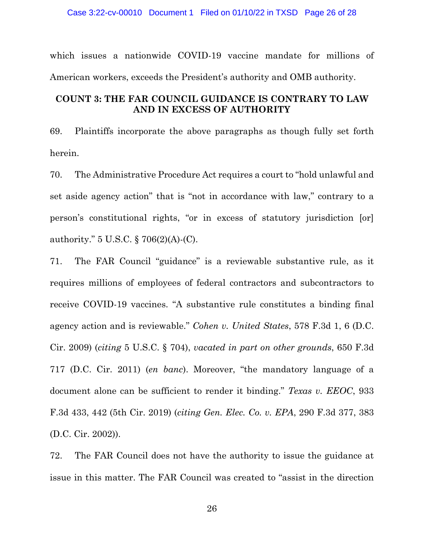#### Case 3:22-cv-00010 Document 1 Filed on 01/10/22 in TXSD Page 26 of 28

which issues a nationwide COVID-19 vaccine mandate for millions of American workers, exceeds the President's authority and OMB authority.

## **COUNT 3: THE FAR COUNCIL GUIDANCE IS CONTRARY TO LAW AND IN EXCESS OF AUTHORITY**

69. Plaintiffs incorporate the above paragraphs as though fully set forth herein.

70. The Administrative Procedure Act requires a court to "hold unlawful and set aside agency action" that is "not in accordance with law," contrary to a person's constitutional rights, "or in excess of statutory jurisdiction [or] authority." 5 U.S.C. § 706(2)(A)-(C).

71. The FAR Council "guidance" is a reviewable substantive rule, as it requires millions of employees of federal contractors and subcontractors to receive COVID-19 vaccines. "A substantive rule constitutes a binding final agency action and is reviewable." *Cohen v. United States*, 578 F.3d 1, 6 (D.C. Cir. 2009) (*citing* 5 U.S.C. § 704), *vacated in part on other grounds*, 650 F.3d 717 (D.C. Cir. 2011) (*en banc*). Moreover, "the mandatory language of a document alone can be sufficient to render it binding." *Texas v. EEOC*, 933 F.3d 433, 442 (5th Cir. 2019) (*citing Gen. Elec. Co. v. EPA*, 290 F.3d 377, 383 (D.C. Cir. 2002)).

72. The FAR Council does not have the authority to issue the guidance at issue in this matter. The FAR Council was created to "assist in the direction

26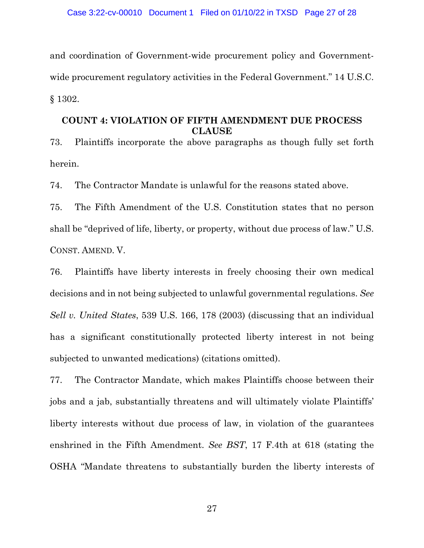and coordination of Government-wide procurement policy and Governmentwide procurement regulatory activities in the Federal Government." 14 U.S.C. § 1302.

## **COUNT 4: VIOLATION OF FIFTH AMENDMENT DUE PROCESS CLAUSE**

73. Plaintiffs incorporate the above paragraphs as though fully set forth herein.

74. The Contractor Mandate is unlawful for the reasons stated above.

75. The Fifth Amendment of the U.S. Constitution states that no person shall be "deprived of life, liberty, or property, without due process of law." U.S. CONST. AMEND. V.

76. Plaintiffs have liberty interests in freely choosing their own medical decisions and in not being subjected to unlawful governmental regulations. *See Sell v. United States*, 539 U.S. 166, 178 (2003) (discussing that an individual has a significant constitutionally protected liberty interest in not being subjected to unwanted medications) (citations omitted).

77. The Contractor Mandate, which makes Plaintiffs choose between their jobs and a jab, substantially threatens and will ultimately violate Plaintiffs' liberty interests without due process of law, in violation of the guarantees enshrined in the Fifth Amendment. *See BST*, 17 F.4th at 618 (stating the OSHA "Mandate threatens to substantially burden the liberty interests of